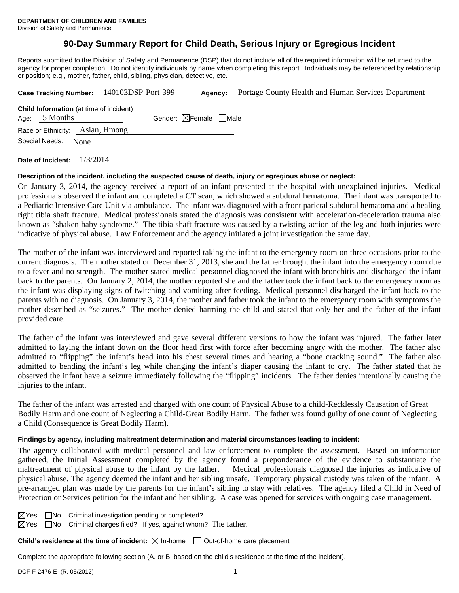# **90-Day Summary Report for Child Death, Serious Injury or Egregious Incident**

Reports submitted to the Division of Safety and Permanence (DSP) that do not include all of the required information will be returned to the agency for proper completion. Do not identify individuals by name when completing this report. Individuals may be referenced by relationship or position; e.g., mother, father, child, sibling, physician, detective, etc.

|                                                                   | Case Tracking Number: 140103DSP-Port-399 | Agency:                         | Portage County Health and Human Services Department |
|-------------------------------------------------------------------|------------------------------------------|---------------------------------|-----------------------------------------------------|
| <b>Child Information</b> (at time of incident)<br>Age: $5$ Months |                                          | Gender: $\boxtimes$ Female Male |                                                     |
| Race or Ethnicity: Asian, Hmong                                   |                                          |                                 |                                                     |
| Special Needs:<br>None                                            |                                          |                                 |                                                     |
|                                                                   |                                          |                                 |                                                     |

**Date of Incident:** 1/3/2014

#### **Description of the incident, including the suspected cause of death, injury or egregious abuse or neglect:**

On January 3, 2014, the agency received a report of an infant presented at the hospital with unexplained injuries. Medical professionals observed the infant and completed a CT scan, which showed a subdural hematoma. The infant was transported to a Pediatric Intensive Care Unit via ambulance. The infant was diagnosed with a front parietal subdural hematoma and a healing right tibia shaft fracture. Medical professionals stated the diagnosis was consistent with acceleration-deceleration trauma also known as "shaken baby syndrome." The tibia shaft fracture was caused by a twisting action of the leg and both injuries were indicative of physical abuse. Law Enforcement and the agency initiated a joint investigation the same day.

The mother of the infant was interviewed and reported taking the infant to the emergency room on three occasions prior to the current diagnosis. The mother stated on December 31, 2013, she and the father brought the infant into the emergency room due to a fever and no strength. The mother stated medical personnel diagnosed the infant with bronchitis and discharged the infant back to the parents. On January 2, 2014, the mother reported she and the father took the infant back to the emergency room as the infant was displaying signs of twitching and vomiting after feeding. Medical personnel discharged the infant back to the parents with no diagnosis. On January 3, 2014, the mother and father took the infant to the emergency room with symptoms the mother described as "seizures." The mother denied harming the child and stated that only her and the father of the infant provided care.

The father of the infant was interviewed and gave several different versions to how the infant was injured. The father later admitted to laying the infant down on the floor head first with force after becoming angry with the mother. The father also admitted to "flipping" the infant's head into his chest several times and hearing a "bone cracking sound." The father also admitted to bending the infant's leg while changing the infant's diaper causing the infant to cry. The father stated that he observed the infant have a seizure immediately following the "flipping" incidents. The father denies intentionally causing the injuries to the infant.

The father of the infant was arrested and charged with one count of Physical Abuse to a child-Recklessly Causation of Great Bodily Harm and one count of Neglecting a Child-Great Bodily Harm. The father was found guilty of one count of Neglecting a Child (Consequence is Great Bodily Harm).

## **Findings by agency, including maltreatment determination and material circumstances leading to incident:**

The agency collaborated with medical personnel and law enforcement to complete the assessment. Based on information gathered, the Initial Assessment completed by the agency found a preponderance of the evidence to substantiate the maltreatment of physical abuse to the infant by the father. Medical professionals diagnosed the injuries as indicative of physical abuse. The agency deemed the infant and her sibling unsafe. Temporary physical custody was taken of the infant. A pre-arranged plan was made by the parents for the infant's sibling to stay with relatives. The agency filed a Child in Need of Protection or Services petition for the infant and her sibling. A case was opened for services with ongoing case management.

 $\boxtimes$ Yes  $\Box$ No Criminal investigation pending or completed?

 $\boxtimes$ Yes  $\Box$ No Criminal charges filed? If yes, against whom? The father.

**Child's residence at the time of incident:** ⊠ In-home □ Out-of-home care placement

Complete the appropriate following section (A. or B. based on the child's residence at the time of the incident).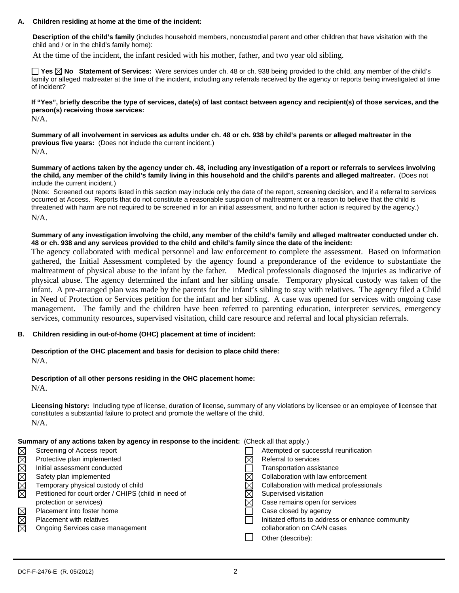#### **A. Children residing at home at the time of the incident:**

**Description of the child's family** (includes household members, noncustodial parent and other children that have visitation with the child and / or in the child's family home):

At the time of the incident, the infant resided with his mother, father, and two year old sibling.

**Yes No Statement of Services:** Were services under ch. 48 or ch. 938 being provided to the child, any member of the child's family or alleged maltreater at the time of the incident, including any referrals received by the agency or reports being investigated at time of incident?

**If "Yes", briefly describe the type of services, date(s) of last contact between agency and recipient(s) of those services, and the person(s) receiving those services:**   $N/A$ 

**Summary of all involvement in services as adults under ch. 48 or ch. 938 by child's parents or alleged maltreater in the previous five years:** (Does not include the current incident.) N/A.

**Summary of actions taken by the agency under ch. 48, including any investigation of a report or referrals to services involving the child, any member of the child's family living in this household and the child's parents and alleged maltreater.** (Does not include the current incident.)

(Note: Screened out reports listed in this section may include only the date of the report, screening decision, and if a referral to services occurred at Access. Reports that do not constitute a reasonable suspicion of maltreatment or a reason to believe that the child is threatened with harm are not required to be screened in for an initial assessment, and no further action is required by the agency.) N/A.

**Summary of any investigation involving the child, any member of the child's family and alleged maltreater conducted under ch. 48 or ch. 938 and any services provided to the child and child's family since the date of the incident:** 

The agency collaborated with medical personnel and law enforcement to complete the assessment. Based on information gathered, the Initial Assessment completed by the agency found a preponderance of the evidence to substantiate the maltreatment of physical abuse to the infant by the father. Medical professionals diagnosed the injuries as indicative of physical abuse. The agency determined the infant and her sibling unsafe. Temporary physical custody was taken of the infant. A pre-arranged plan was made by the parents for the infant's sibling to stay with relatives. The agency filed a Child in Need of Protection or Services petition for the infant and her sibling. A case was opened for services with ongoing case management. The family and the children have been referred to parenting education, interpreter services, emergency services, community resources, supervised visitation, child care resource and referral and local physician referrals.

## **B. Children residing in out-of-home (OHC) placement at time of incident:**

**Description of the OHC placement and basis for decision to place child there:**  $N/A$ 

**Description of all other persons residing in the OHC placement home:**

N/A.

**Licensing history:** Including type of license, duration of license, summary of any violations by licensee or an employee of licensee that constitutes a substantial failure to protect and promote the welfare of the child. N/A.

## **Summary of any actions taken by agency in response to the incident:** (Check all that apply.)

| $\boxtimes$            | Screening of Access report                           | Attempted or successful reunification             |
|------------------------|------------------------------------------------------|---------------------------------------------------|
| $\overline{\boxtimes}$ | Protective plan implemented                          | Referral to services                              |
|                        | Initial assessment conducted                         | Transportation assistance                         |
|                        | Safety plan implemented                              | Collaboration with law enforcement                |
| MMM                    | Temporary physical custody of child                  | Collaboration with medical professionals          |
|                        | Petitioned for court order / CHIPS (child in need of | Supervised visitation                             |
|                        | protection or services)                              | Case remains open for services                    |
|                        | Placement into foster home                           | Case closed by agency                             |
| $\boxtimes$            | <b>Placement with relatives</b>                      | Initiated efforts to address or enhance community |
| $\boxtimes$            | Ongoing Services case management                     | collaboration on CA/N cases                       |
|                        |                                                      | Other (describe):                                 |